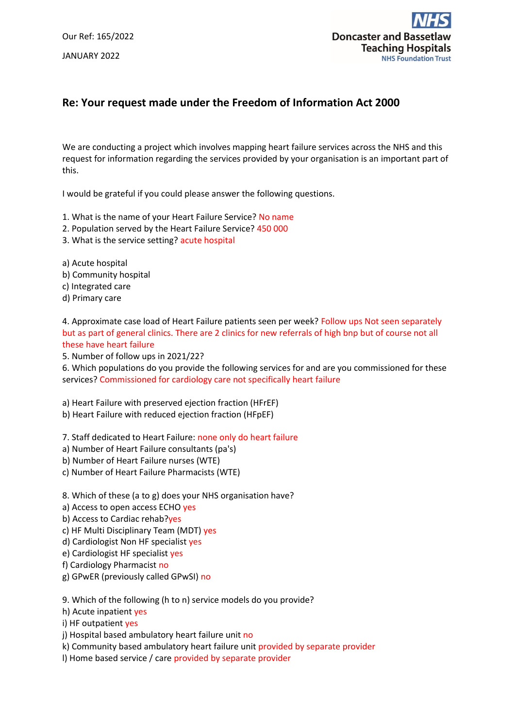Our Ref: 165/2022 JANUARY 2022



## **Re: Your request made under the Freedom of Information Act 2000**

We are conducting a project which involves mapping heart failure services across the NHS and this request for information regarding the services provided by your organisation is an important part of this.

I would be grateful if you could please answer the following questions.

1. What is the name of your Heart Failure Service? No name

- 2. Population served by the Heart Failure Service? 450 000
- 3. What is the service setting? acute hospital

a) Acute hospital

- b) Community hospital
- c) Integrated care
- d) Primary care

4. Approximate case load of Heart Failure patients seen per week? Follow ups Not seen separately but as part of general clinics. There are 2 clinics for new referrals of high bnp but of course not all these have heart failure

5. Number of follow ups in 2021/22?

6. Which populations do you provide the following services for and are you commissioned for these services? Commissioned for cardiology care not specifically heart failure

a) Heart Failure with preserved ejection fraction (HFrEF)

b) Heart Failure with reduced ejection fraction (HFpEF)

7. Staff dedicated to Heart Failure: none only do heart failure

- a) Number of Heart Failure consultants (pa's)
- b) Number of Heart Failure nurses (WTE)
- c) Number of Heart Failure Pharmacists (WTE)

8. Which of these (a to g) does your NHS organisation have?

- a) Access to open access ECHO yes
- b) Access to Cardiac rehab?yes
- c) HF Multi Disciplinary Team (MDT) yes
- d) Cardiologist Non HF specialist yes
- e) Cardiologist HF specialist yes
- f) Cardiology Pharmacist no
- g) GPwER (previously called GPwSI) no

9. Which of the following (h to n) service models do you provide?

h) Acute inpatient yes

i) HF outpatient yes

j) Hospital based ambulatory heart failure unit no

k) Community based ambulatory heart failure unit provided by separate provider

l) Home based service / care provided by separate provider